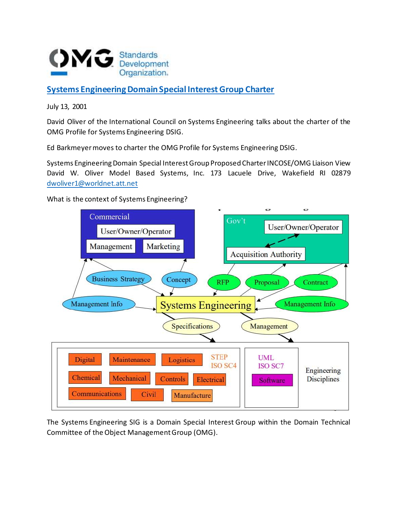

## **[Systems Engineering Domain Special Interest Group Charter](https://www.omg.org/cgi-bin/doc?dtc/2001-07-02)**

July 13, 2001

David Oliver of the International Council on Systems Engineering talks about the charter of the OMG Profile for Systems Engineering DSIG.

Ed Barkmeyer moves to charter the OMG Profile for Systems Engineering DSIG.

Systems Engineering Domain Special Interest Group Proposed Charter INCOSE/OMG Liaison View David W. Oliver Model Based Systems, Inc. 173 Lacuele Drive, Wakefield RI 02879 [dwoliver1@worldnet.att.net](mailto:dwoliver1@worldnet.att.net)

What is the context of Systems Engineering?



The Systems Engineering SIG is a Domain Special Interest Group within the Domain Technical Committee of the Object Management Group (OMG).